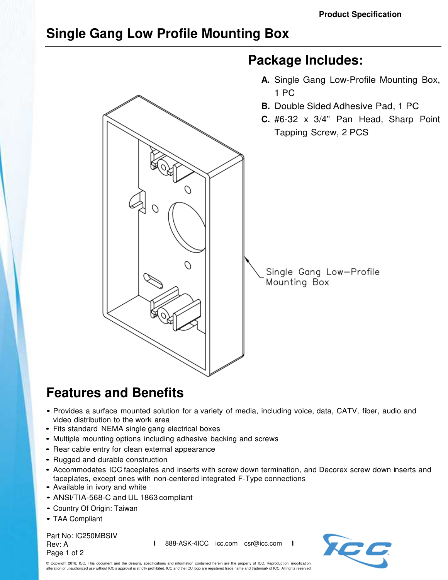## **Single Gang Low Profile Mounting Box**



## **Features and Benefits**

- Provides a surface mounted solution for a variety of media, including voice, data, CATV, fiber, audio and video distribution to the work area
- Fits standard NEMA single gang electrical boxes
- Multiple mounting options including adhesive backing and screws
- Rear cable entry for clean external appearance
- Rugged and durable construction
- Accommodates ICC faceplates and inserts with screw down termination, and Decorex screw down inserts and faceplates, except ones with non-centered integrated F-Type connections
- Available in ivory and white
- ANSl/TIA-568-C and UL 1863 compliant
- Country Of Origin: Taiwan
- TAA Compliant

Part No: IC250MBSIV Rev: A Page 1 of 2

**I** 888-ASK-4ICC icc.com csr@icc.com **I**



© Copyright 2018, ICC. This document and the designs, specifications and information contained herein are the property of ICC. Reproduction, modification, alteration or unauthorized use without ICC's approval is strictly prohibited. ICC and the ICC logo are registered trade name and trademark of ICC. All rights reserved.